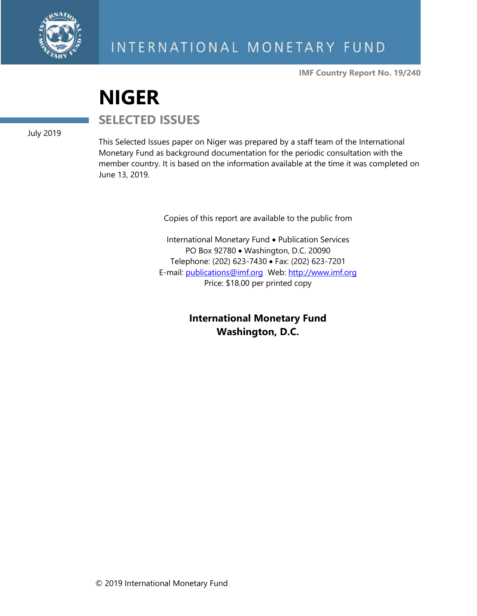

**IMF Country Report No. 19/240**

# **NIGER**

**SELECTED ISSUES**

July 2019

This Selected Issues paper on Niger was prepared by a staff team of the International Monetary Fund as background documentation for the periodic consultation with the member country. It is based on the information available at the time it was completed on June 13, 2019.

Copies of this report are available to the public from

International Monetary Fund • Publication Services PO Box 92780 • Washington, D.C. 20090 Telephone: (202) 623-7430 • Fax: (202) 623-7201 E-mail: [publications@imf.org](mailto:publications@imf.org) Web: [http://www.imf.org](http://www.imf.org/) Price: \$18.00 per printed copy

> **International Monetary Fund Washington, D.C.**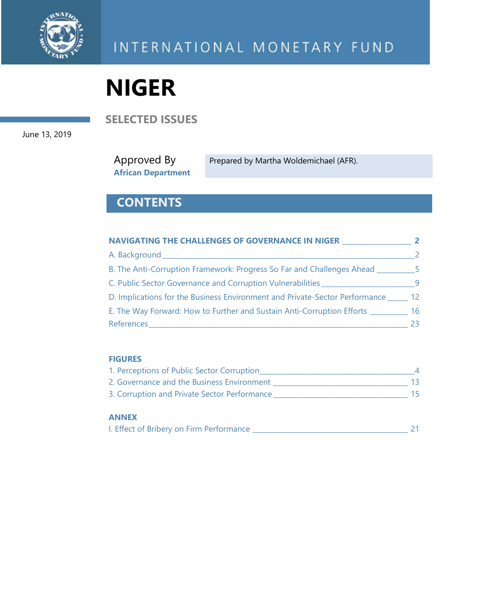

# **NIGER**

**SELECTED ISSUES**

June 13, 2019

Approved By **African Department**

Prepared by Martha Woldemichael (AFR).

# **CONTENTS**

| NAVIGATING THE CHALLENGES OF GOVERNANCE IN NIGER                                  |                   |
|-----------------------------------------------------------------------------------|-------------------|
| A. Background                                                                     |                   |
| B. The Anti-Corruption Framework: Progress So Far and Challenges Ahead _________5 |                   |
| C. Public Sector Governance and Corruption Vulnerabilities                        | -9                |
| D. Implications for the Business Environment and Private-Sector Performance       | $12 \overline{ }$ |
| E. The Way Forward: How to Further and Sustain Anti-Corruption Efforts            | 16                |
| References                                                                        | 23.               |

#### **FIGURES**

| 1. Perceptions of Public Sector Corruption   |    |
|----------------------------------------------|----|
| 2. Governance and the Business Environment   |    |
| 3. Corruption and Private Sector Performance | 15 |
|                                              |    |

#### **ANNEX**

| I. Effect of Bribery on Firm Performance |  |  |  |
|------------------------------------------|--|--|--|
|------------------------------------------|--|--|--|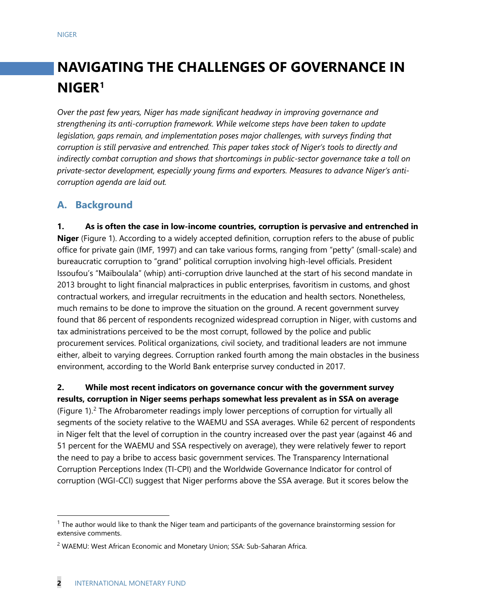# **NAVIGATING THE CHALLENGES OF GOVERNANCE IN NIGER[1](#page-2-0)**

*Over the past few years, Niger has made significant headway in improving governance and strengthening its anti-corruption framework. While welcome steps have been taken to update legislation, gaps remain, and implementation poses major challenges, with surveys finding that corruption is still pervasive and entrenched. This paper takes stock of Niger's tools to directly and indirectly combat corruption and shows that shortcomings in public-sector governance take a toll on private-sector development, especially young firms and exporters. Measures to advance Niger's anticorruption agenda are laid out.* 

# **A. Background**

**1. As is often the case in low-income countries, corruption is pervasive and entrenched in Niger** (Figure 1). According to a widely accepted definition, corruption refers to the abuse of public office for private gain (IMF, 1997) and can take various forms, ranging from "petty" (small-scale) and bureaucratic corruption to "grand" political corruption involving high-level officials. President Issoufou's "Maïboulala" (whip) anti-corruption drive launched at the start of his second mandate in 2013 brought to light financial malpractices in public enterprises, favoritism in customs, and ghost contractual workers, and irregular recruitments in the education and health sectors. Nonetheless, much remains to be done to improve the situation on the ground. A recent government survey found that 86 percent of respondents recognized widespread corruption in Niger, with customs and tax administrations perceived to be the most corrupt, followed by the police and public procurement services. Political organizations, civil society, and traditional leaders are not immune either, albeit to varying degrees. Corruption ranked fourth among the main obstacles in the business environment, according to the World Bank enterprise survey conducted in 2017.

**2. While most recent indicators on governance concur with the government survey results, corruption in Niger seems perhaps somewhat less prevalent as in SSA on average** (Figure 1). [2](#page-2-1) The Afrobarometer readings imply lower perceptions of corruption for virtually all segments of the society relative to the WAEMU and SSA averages. While 62 percent of respondents in Niger felt that the level of corruption in the country increased over the past year (against 46 and 51 percent for the WAEMU and SSA respectively on average), they were relatively fewer to report the need to pay a bribe to access basic government services. The Transparency International Corruption Perceptions Index (TI-CPI) and the Worldwide Governance Indicator for control of corruption (WGI-CCI) suggest that Niger performs above the SSA average. But it scores below the

<span id="page-2-0"></span> $<sup>1</sup>$  The author would like to thank the Niger team and participants of the governance brainstorming session for</sup> extensive comments.

<span id="page-2-1"></span><sup>&</sup>lt;sup>2</sup> WAEMU: West African Economic and Monetary Union; SSA: Sub-Saharan Africa.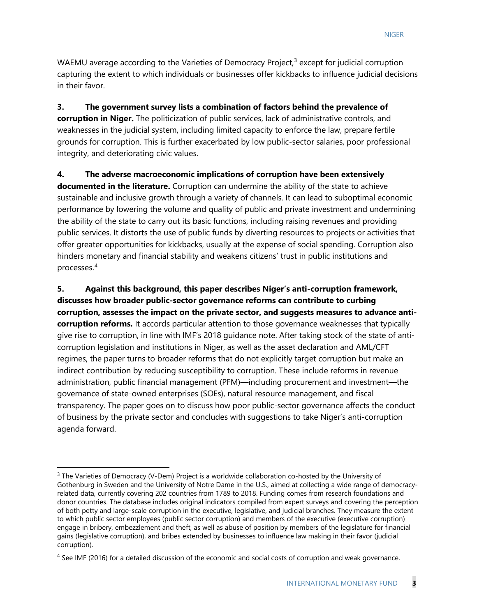WAEMU average according to the Varieties of Democracy Project,<sup>[3](#page-3-0)</sup> except for judicial corruption capturing the extent to which individuals or businesses offer kickbacks to influence judicial decisions in their favor.

**3. The government survey lists a combination of factors behind the prevalence of corruption in Niger.** The politicization of public services, lack of administrative controls, and weaknesses in the judicial system, including limited capacity to enforce the law, prepare fertile grounds for corruption. This is further exacerbated by low public-sector salaries, poor professional integrity, and deteriorating civic values.

**4. The adverse macroeconomic implications of corruption have been extensively documented in the literature.** Corruption can undermine the ability of the state to achieve sustainable and inclusive growth through a variety of channels. It can lead to suboptimal economic performance by lowering the volume and quality of public and private investment and undermining the ability of the state to carry out its basic functions, including raising revenues and providing public services. It distorts the use of public funds by diverting resources to projects or activities that offer greater opportunities for kickbacks, usually at the expense of social spending. Corruption also hinders monetary and financial stability and weakens citizens' trust in public institutions and processes.[4](#page-3-1)

**5. Against this background, this paper describes Niger's anti-corruption framework, discusses how broader public-sector governance reforms can contribute to curbing corruption, assesses the impact on the private sector, and suggests measures to advance anticorruption reforms.** It accords particular attention to those governance weaknesses that typically give rise to corruption, in line with IMF's 2018 guidance note. After taking stock of the state of anticorruption legislation and institutions in Niger, as well as the asset declaration and AML/CFT regimes, the paper turns to broader reforms that do not explicitly target corruption but make an indirect contribution by reducing susceptibility to corruption. These include reforms in revenue administration, public financial management (PFM)—including procurement and investment—the governance of state-owned enterprises (SOEs), natural resource management, and fiscal transparency. The paper goes on to discuss how poor public-sector governance affects the conduct of business by the private sector and concludes with suggestions to take Niger's anti-corruption agenda forward.

<span id="page-3-0"></span> $3$  The Varieties of Democracy (V-Dem) Project is a worldwide collaboration co-hosted by the University of Gothenburg in Sweden and the University of Notre Dame in the U.S., aimed at collecting a wide range of democracyrelated data, currently covering 202 countries from 1789 to 2018. Funding comes from research foundations and donor countries. The database includes original indicators compiled from expert surveys and covering the perception of both petty and large-scale corruption in the executive, legislative, and judicial branches. They measure the extent to which public sector employees (public sector corruption) and members of the executive (executive corruption) engage in bribery, embezzlement and theft, as well as abuse of position by members of the legislature for financial gains (legislative corruption), and bribes extended by businesses to influence law making in their favor (judicial corruption).

<span id="page-3-1"></span> $4$  See IMF (2016) for a detailed discussion of the economic and social costs of corruption and weak governance.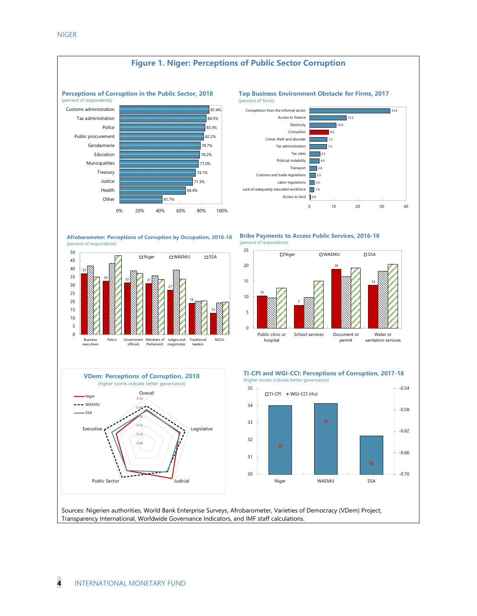

Sources: Nigerien authorities, World Bank Enterprise Surveys, Afrobarometer, Varieties of Democracy (VDem) Project, Transparency International, Worldwide Governance Indicators, and IMF staff calculations.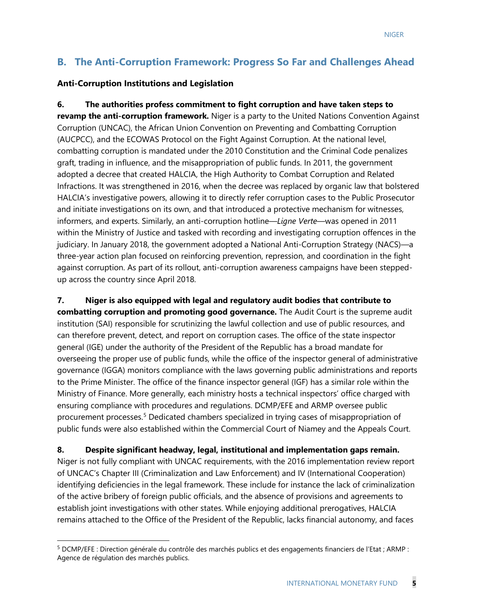# **B. The Anti-Corruption Framework: Progress So Far and Challenges Ahead**

#### **Anti-Corruption Institutions and Legislation**

**6. The authorities profess commitment to fight corruption and have taken steps to revamp the anti-corruption framework.** Niger is a party to the United Nations Convention Against Corruption (UNCAC), the African Union Convention on Preventing and Combatting Corruption (AUCPCC), and the ECOWAS Protocol on the Fight Against Corruption. At the national level, combatting corruption is mandated under the 2010 Constitution and the Criminal Code penalizes graft, trading in influence, and the misappropriation of public funds. In 2011, the government adopted a decree that created HALCIA, the High Authority to Combat Corruption and Related Infractions. It was strengthened in 2016, when the decree was replaced by organic law that bolstered HALCIA's investigative powers, allowing it to directly refer corruption cases to the Public Prosecutor and initiate investigations on its own, and that introduced a protective mechanism for witnesses, informers, and experts. Similarly, an anti-corruption hotline—*Ligne Verte*—was opened in 2011 within the Ministry of Justice and tasked with recording and investigating corruption offences in the judiciary. In January 2018, the government adopted a National Anti-Corruption Strategy (NACS)—a three-year action plan focused on reinforcing prevention, repression, and coordination in the fight against corruption. As part of its rollout, anti-corruption awareness campaigns have been steppedup across the country since April 2018.

**7. Niger is also equipped with legal and regulatory audit bodies that contribute to combatting corruption and promoting good governance.** The Audit Court is the supreme audit institution (SAI) responsible for scrutinizing the lawful collection and use of public resources, and can therefore prevent, detect, and report on corruption cases. The office of the state inspector general (IGE) under the authority of the President of the Republic has a broad mandate for overseeing the proper use of public funds, while the office of the inspector general of administrative governance (IGGA) monitors compliance with the laws governing public administrations and reports to the Prime Minister. The office of the finance inspector general (IGF) has a similar role within the Ministry of Finance. More generally, each ministry hosts a technical inspectors' office charged with ensuring compliance with procedures and regulations. DCMP/EFE and ARMP oversee public procurement processes.<sup>[5](#page-5-0)</sup> Dedicated chambers specialized in trying cases of misappropriation of public funds were also established within the Commercial Court of Niamey and the Appeals Court.

**8. Despite significant headway, legal, institutional and implementation gaps remain.**  Niger is not fully compliant with UNCAC requirements, with the 2016 implementation review report of UNCAC's Chapter III (Criminalization and Law Enforcement) and IV (International Cooperation) identifying deficiencies in the legal framework. These include for instance the lack of criminalization of the active bribery of foreign public officials, and the absence of provisions and agreements to establish joint investigations with other states. While enjoying additional prerogatives, HALCIA remains attached to the Office of the President of the Republic, lacks financial autonomy, and faces

<span id="page-5-0"></span> <sup>5</sup> DCMP/EFE : Direction générale du contrôle des marchés publics et des engagements financiers de l'Etat ; ARMP : Agence de régulation des marchés publics.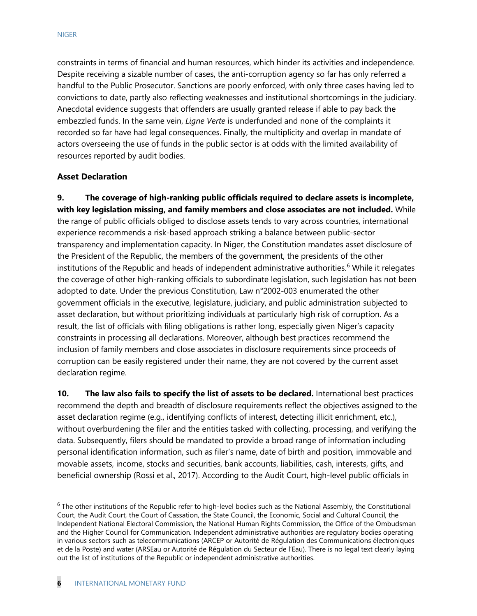constraints in terms of financial and human resources, which hinder its activities and independence. Despite receiving a sizable number of cases, the anti-corruption agency so far has only referred a handful to the Public Prosecutor. Sanctions are poorly enforced, with only three cases having led to convictions to date, partly also reflecting weaknesses and institutional shortcomings in the judiciary. Anecdotal evidence suggests that offenders are usually granted release if able to pay back the embezzled funds. In the same vein, *Ligne Verte* is underfunded and none of the complaints it recorded so far have had legal consequences. Finally, the multiplicity and overlap in mandate of actors overseeing the use of funds in the public sector is at odds with the limited availability of resources reported by audit bodies.

#### **Asset Declaration**

**9. The coverage of high-ranking public officials required to declare assets is incomplete, with key legislation missing, and family members and close associates are not included.** While the range of public officials obliged to disclose assets tends to vary across countries, international experience recommends a risk-based approach striking a balance between public-sector transparency and implementation capacity. In Niger, the Constitution mandates asset disclosure of the President of the Republic, the members of the government, the presidents of the other institutions of the Republic and heads of independent administrative authorities. [6](#page-6-0) While it relegates the coverage of other high-ranking officials to subordinate legislation, such legislation has not been adopted to date. Under the previous Constitution, Law n°2002-003 enumerated the other government officials in the executive, legislature, judiciary, and public administration subjected to asset declaration, but without prioritizing individuals at particularly high risk of corruption. As a result, the list of officials with filing obligations is rather long, especially given Niger's capacity constraints in processing all declarations. Moreover, although best practices recommend the inclusion of family members and close associates in disclosure requirements since proceeds of corruption can be easily registered under their name, they are not covered by the current asset declaration regime.

**10. The law also fails to specify the list of assets to be declared.** International best practices recommend the depth and breadth of disclosure requirements reflect the objectives assigned to the asset declaration regime (e.g., identifying conflicts of interest, detecting illicit enrichment, etc.), without overburdening the filer and the entities tasked with collecting, processing, and verifying the data. Subsequently, filers should be mandated to provide a broad range of information including personal identification information, such as filer's name, date of birth and position, immovable and movable assets, income, stocks and securities, bank accounts, liabilities, cash, interests, gifts, and beneficial ownership (Rossi et al., 2017). According to the Audit Court, high-level public officials in

<span id="page-6-0"></span> $6$  The other institutions of the Republic refer to high-level bodies such as the National Assembly, the Constitutional Court, the Audit Court, the Court of Cassation, the State Council, the Economic, Social and Cultural Council, the Independent National Electoral Commission, the National Human Rights Commission, the Office of the Ombudsman and the Higher Council for Communication. Independent administrative authorities are regulatory bodies operating in various sectors such as telecommunications (ARCEP or Autorité de Régulation des Communications électroniques et de la Poste) and water (ARSEau or Autorité de Régulation du Secteur de l'Eau). There is no legal text clearly laying out the list of institutions of the Republic or independent administrative authorities.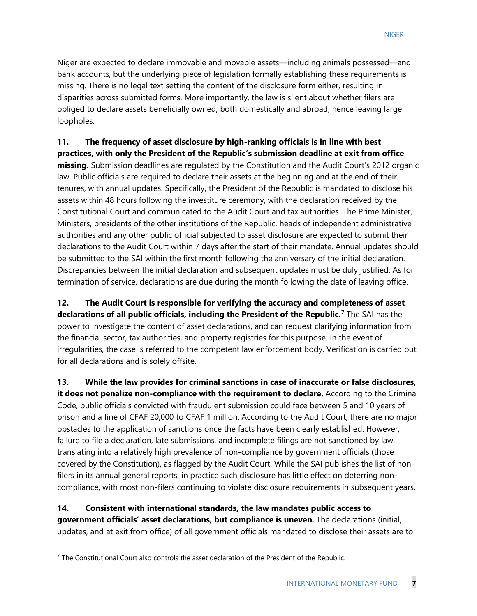Niger are expected to declare immovable and movable assets—including animals possessed—and bank accounts, but the underlying piece of legislation formally establishing these requirements is missing. There is no legal text setting the content of the disclosure form either, resulting in disparities across submitted forms. More importantly, the law is silent about whether filers are obliged to declare assets beneficially owned, both domestically and abroad, hence leaving large loopholes.

**11. The frequency of asset disclosure by high-ranking officials is in line with best practices, with only the President of the Republic's submission deadline at exit from office missing.** Submission deadlines are regulated by the Constitution and the Audit Court's 2012 organic law. Public officials are required to declare their assets at the beginning and at the end of their tenures, with annual updates. Specifically, the President of the Republic is mandated to disclose his assets within 48 hours following the investiture ceremony, with the declaration received by the Constitutional Court and communicated to the Audit Court and tax authorities. The Prime Minister, Ministers, presidents of the other institutions of the Republic, heads of independent administrative authorities and any other public official subjected to asset disclosure are expected to submit their declarations to the Audit Court within 7 days after the start of their mandate. Annual updates should be submitted to the SAI within the first month following the anniversary of the initial declaration. Discrepancies between the initial declaration and subsequent updates must be duly justified. As for termination of service, declarations are due during the month following the date of leaving office.

**12. The Audit Court is responsible for verifying the accuracy and completeness of asset declarations of all public officials, including the President of the Republic.[7](#page-7-0)** The SAI has the power to investigate the content of asset declarations, and can request clarifying information from the financial sector, tax authorities, and property registries for this purpose. In the event of irregularities, the case is referred to the competent law enforcement body. Verification is carried out for all declarations and is solely offsite.

**13. While the law provides for criminal sanctions in case of inaccurate or false disclosures, it does not penalize non-compliance with the requirement to declare.** According to the Criminal Code, public officials convicted with fraudulent submission could face between 5 and 10 years of prison and a fine of CFAF 20,000 to CFAF 1 million. According to the Audit Court, there are no major obstacles to the application of sanctions once the facts have been clearly established. However, failure to file a declaration, late submissions, and incomplete filings are not sanctioned by law, translating into a relatively high prevalence of non-compliance by government officials (those covered by the Constitution), as flagged by the Audit Court. While the SAI publishes the list of nonfilers in its annual general reports, in practice such disclosure has little effect on deterring noncompliance, with most non-filers continuing to violate disclosure requirements in subsequent years.

**14. Consistent with international standards, the law mandates public access to government officials' asset declarations, but compliance is uneven***.* The declarations (initial, updates, and at exit from office) of all government officials mandated to disclose their assets are to

<span id="page-7-0"></span> $7$  The Constitutional Court also controls the asset declaration of the President of the Republic.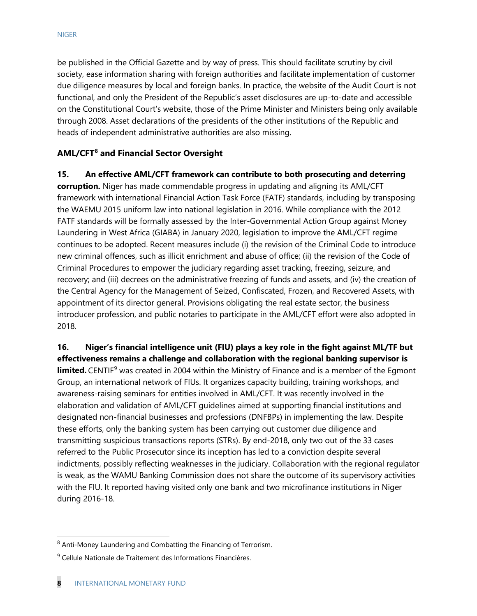be published in the Official Gazette and by way of press. This should facilitate scrutiny by civil society, ease information sharing with foreign authorities and facilitate implementation of customer due diligence measures by local and foreign banks. In practice, the website of the Audit Court is not functional, and only the President of the Republic's asset disclosures are up-to-date and accessible on the Constitutional Court's website, those of the Prime Minister and Ministers being only available through 2008. Asset declarations of the presidents of the other institutions of the Republic and heads of independent administrative authorities are also missing.

#### **AML/CFT[8](#page-8-0) and Financial Sector Oversight**

**15. An effective AML/CFT framework can contribute to both prosecuting and deterring corruption.** Niger has made commendable progress in updating and aligning its AML/CFT framework with international Financial Action Task Force (FATF) standards, including by transposing the WAEMU 2015 uniform law into national legislation in 2016. While compliance with the 2012 FATF standards will be formally assessed by the Inter-Governmental Action Group against Money Laundering in West Africa (GIABA) in January 2020, legislation to improve the AML/CFT regime continues to be adopted. Recent measures include (i) the revision of the Criminal Code to introduce new criminal offences, such as illicit enrichment and abuse of office; (ii) the revision of the Code of Criminal Procedures to empower the judiciary regarding asset tracking, freezing, seizure, and recovery; and (iii) decrees on the administrative freezing of funds and assets, and (iv) the creation of the Central Agency for the Management of Seized, Confiscated, Frozen, and Recovered Assets, with appointment of its director general. Provisions obligating the real estate sector, the business introducer profession, and public notaries to participate in the AML/CFT effort were also adopted in 2018.

**16. Niger's financial intelligence unit (FIU) plays a key role in the fight against ML/TF but effectiveness remains a challenge and collaboration with the regional banking supervisor is limited.** CENTIF<sup>[9](#page-8-1)</sup> was created in 2004 within the Ministry of Finance and is a member of the Egmont Group, an international network of FIUs. It organizes capacity building, training workshops, and awareness-raising seminars for entities involved in AML/CFT. It was recently involved in the elaboration and validation of AML/CFT guidelines aimed at supporting financial institutions and designated non-financial businesses and professions (DNFBPs) in implementing the law. Despite these efforts, only the banking system has been carrying out customer due diligence and transmitting suspicious transactions reports (STRs). By end-2018, only two out of the 33 cases referred to the Public Prosecutor since its inception has led to a conviction despite several indictments, possibly reflecting weaknesses in the judiciary. Collaboration with the regional regulator is weak, as the WAMU Banking Commission does not share the outcome of its supervisory activities with the FIU. It reported having visited only one bank and two microfinance institutions in Niger during 2016-18.

<span id="page-8-0"></span> <sup>8</sup> Anti-Money Laundering and Combatting the Financing of Terrorism.

<span id="page-8-1"></span><sup>&</sup>lt;sup>9</sup> Cellule Nationale de Traitement des Informations Financières.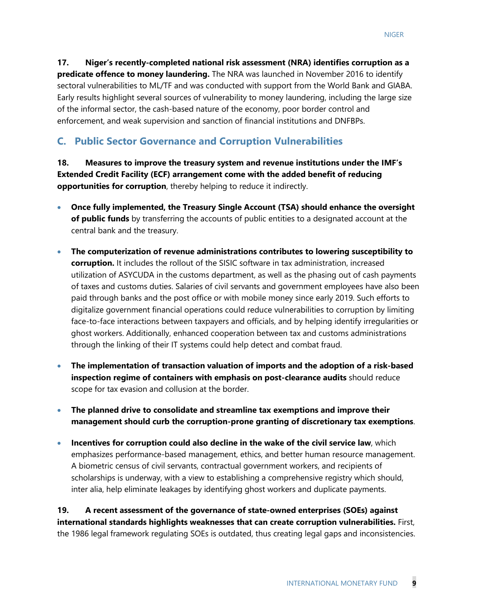**17. Niger's recently-completed national risk assessment (NRA) identifies corruption as a predicate offence to money laundering.** The NRA was launched in November 2016 to identify sectoral vulnerabilities to ML/TF and was conducted with support from the World Bank and GIABA. Early results highlight several sources of vulnerability to money laundering, including the large size of the informal sector, the cash-based nature of the economy, poor border control and enforcement, and weak supervision and sanction of financial institutions and DNFBPs.

### **C. Public Sector Governance and Corruption Vulnerabilities**

**18. Measures to improve the treasury system and revenue institutions under the IMF's Extended Credit Facility (ECF) arrangement come with the added benefit of reducing opportunities for corruption**, thereby helping to reduce it indirectly.

- **Once fully implemented, the Treasury Single Account (TSA) should enhance the oversight of public funds** by transferring the accounts of public entities to a designated account at the central bank and the treasury.
- **The computerization of revenue administrations contributes to lowering susceptibility to corruption.** It includes the rollout of the SISIC software in tax administration, increased utilization of ASYCUDA in the customs department, as well as the phasing out of cash payments of taxes and customs duties. Salaries of civil servants and government employees have also been paid through banks and the post office or with mobile money since early 2019. Such efforts to digitalize government financial operations could reduce vulnerabilities to corruption by limiting face-to-face interactions between taxpayers and officials, and by helping identify irregularities or ghost workers. Additionally, enhanced cooperation between tax and customs administrations through the linking of their IT systems could help detect and combat fraud.
- **The implementation of transaction valuation of imports and the adoption of a risk-based inspection regime of containers with emphasis on post-clearance audits** should reduce scope for tax evasion and collusion at the border.
- **The planned drive to consolidate and streamline tax exemptions and improve their management should curb the corruption-prone granting of discretionary tax exemptions**.
- **Incentives for corruption could also decline in the wake of the civil service law**, which emphasizes performance-based management, ethics, and better human resource management. A biometric census of civil servants, contractual government workers, and recipients of scholarships is underway, with a view to establishing a comprehensive registry which should, inter alia, help eliminate leakages by identifying ghost workers and duplicate payments.

**19. A recent assessment of the governance of state-owned enterprises (SOEs) against international standards highlights weaknesses that can create corruption vulnerabilities.** First, the 1986 legal framework regulating SOEs is outdated, thus creating legal gaps and inconsistencies.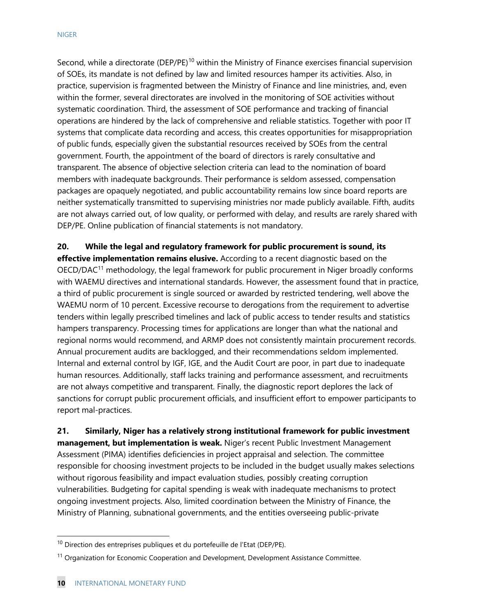Second, while a directorate (DEP/PE)<sup>[10](#page-10-0)</sup> within the Ministry of Finance exercises financial supervision of SOEs, its mandate is not defined by law and limited resources hamper its activities. Also, in practice, supervision is fragmented between the Ministry of Finance and line ministries, and, even within the former, several directorates are involved in the monitoring of SOE activities without systematic coordination. Third, the assessment of SOE performance and tracking of financial operations are hindered by the lack of comprehensive and reliable statistics. Together with poor IT systems that complicate data recording and access, this creates opportunities for misappropriation of public funds, especially given the substantial resources received by SOEs from the central government. Fourth, the appointment of the board of directors is rarely consultative and transparent. The absence of objective selection criteria can lead to the nomination of board members with inadequate backgrounds. Their performance is seldom assessed, compensation packages are opaquely negotiated, and public accountability remains low since board reports are neither systematically transmitted to supervising ministries nor made publicly available. Fifth, audits are not always carried out, of low quality, or performed with delay, and results are rarely shared with DEP/PE. Online publication of financial statements is not mandatory.

**20. While the legal and regulatory framework for public procurement is sound, its effective implementation remains elusive.** According to a recent diagnostic based on the OECD/DAC<sup>[11](#page-10-1)</sup> methodology, the legal framework for public procurement in Niger broadly conforms with WAEMU directives and international standards. However, the assessment found that in practice, a third of public procurement is single sourced or awarded by restricted tendering, well above the WAEMU norm of 10 percent. Excessive recourse to derogations from the requirement to advertise tenders within legally prescribed timelines and lack of public access to tender results and statistics hampers transparency. Processing times for applications are longer than what the national and regional norms would recommend, and ARMP does not consistently maintain procurement records. Annual procurement audits are backlogged, and their recommendations seldom implemented. Internal and external control by IGF, IGE, and the Audit Court are poor, in part due to inadequate human resources. Additionally, staff lacks training and performance assessment, and recruitments are not always competitive and transparent. Finally, the diagnostic report deplores the lack of sanctions for corrupt public procurement officials, and insufficient effort to empower participants to report mal-practices.

**21. Similarly, Niger has a relatively strong institutional framework for public investment management, but implementation is weak.** Niger's recent Public Investment Management Assessment (PIMA) identifies deficiencies in project appraisal and selection. The committee responsible for choosing investment projects to be included in the budget usually makes selections without rigorous feasibility and impact evaluation studies, possibly creating corruption vulnerabilities. Budgeting for capital spending is weak with inadequate mechanisms to protect ongoing investment projects. Also, limited coordination between the Ministry of Finance, the Ministry of Planning, subnational governments, and the entities overseeing public-private

<span id="page-10-0"></span><sup>&</sup>lt;sup>10</sup> Direction des entreprises publiques et du portefeuille de l'Etat (DEP/PE).

<span id="page-10-1"></span><sup>&</sup>lt;sup>11</sup> Organization for Economic Cooperation and Development, Development Assistance Committee.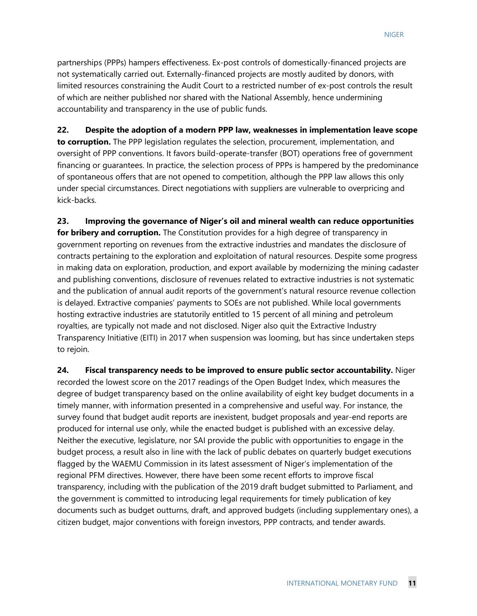partnerships (PPPs) hampers effectiveness. Ex-post controls of domestically-financed projects are not systematically carried out. Externally-financed projects are mostly audited by donors, with limited resources constraining the Audit Court to a restricted number of ex-post controls the result of which are neither published nor shared with the National Assembly, hence undermining accountability and transparency in the use of public funds.

**22. Despite the adoption of a modern PPP law, weaknesses in implementation leave scope to corruption.** The PPP legislation regulates the selection, procurement, implementation, and oversight of PPP conventions. It favors build-operate-transfer (BOT) operations free of government financing or guarantees. In practice, the selection process of PPPs is hampered by the predominance of spontaneous offers that are not opened to competition, although the PPP law allows this only under special circumstances. Direct negotiations with suppliers are vulnerable to overpricing and kick-backs.

**23. Improving the governance of Niger's oil and mineral wealth can reduce opportunities for bribery and corruption.** The Constitution provides for a high degree of transparency in government reporting on revenues from the extractive industries and mandates the disclosure of contracts pertaining to the exploration and exploitation of natural resources. Despite some progress in making data on exploration, production, and export available by modernizing the mining cadaster and publishing conventions, disclosure of revenues related to extractive industries is not systematic and the publication of annual audit reports of the government's natural resource revenue collection is delayed. Extractive companies' payments to SOEs are not published. While local governments hosting extractive industries are statutorily entitled to 15 percent of all mining and petroleum royalties, are typically not made and not disclosed. Niger also quit the Extractive Industry Transparency Initiative (EITI) in 2017 when suspension was looming, but has since undertaken steps to rejoin.

**24. Fiscal transparency needs to be improved to ensure public sector accountability.** Niger recorded the lowest score on the 2017 readings of the Open Budget Index, which measures the degree of budget transparency based on the online availability of eight key budget documents in a timely manner, with information presented in a comprehensive and useful way. For instance, the survey found that budget audit reports are inexistent, budget proposals and year-end reports are produced for internal use only, while the enacted budget is published with an excessive delay. Neither the executive, legislature, nor SAI provide the public with opportunities to engage in the budget process, a result also in line with the lack of public debates on quarterly budget executions flagged by the WAEMU Commission in its latest assessment of Niger's implementation of the regional PFM directives. However, there have been some recent efforts to improve fiscal transparency, including with the publication of the 2019 draft budget submitted to Parliament, and the government is committed to introducing legal requirements for timely publication of key documents such as budget outturns, draft, and approved budgets (including supplementary ones), a citizen budget, major conventions with foreign investors, PPP contracts, and tender awards.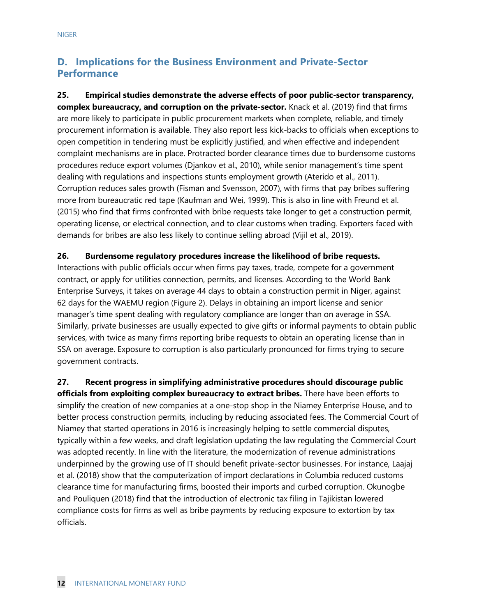# **D. Implications for the Business Environment and Private-Sector Performance**

**25. Empirical studies demonstrate the adverse effects of poor public-sector transparency, complex bureaucracy, and corruption on the private-sector.** Knack et al. (2019) find that firms are more likely to participate in public procurement markets when complete, reliable, and timely procurement information is available. They also report less kick-backs to officials when exceptions to open competition in tendering must be explicitly justified, and when effective and independent complaint mechanisms are in place. Protracted border clearance times due to burdensome customs procedures reduce export volumes (Djankov et al., 2010), while senior management's time spent dealing with regulations and inspections stunts employment growth (Aterido et al., 2011). Corruption reduces sales growth (Fisman and Svensson, 2007), with firms that pay bribes suffering more from bureaucratic red tape (Kaufman and Wei, 1999). This is also in line with Freund et al. (2015) who find that firms confronted with bribe requests take longer to get a construction permit, operating license, or electrical connection, and to clear customs when trading. Exporters faced with demands for bribes are also less likely to continue selling abroad (Vijil et al., 2019).

#### **26. Burdensome regulatory procedures increase the likelihood of bribe requests.**

Interactions with public officials occur when firms pay taxes, trade, compete for a government contract, or apply for utilities connection, permits, and licenses. According to the World Bank Enterprise Surveys, it takes on average 44 days to obtain a construction permit in Niger, against 62 days for the WAEMU region (Figure 2). Delays in obtaining an import license and senior manager's time spent dealing with regulatory compliance are longer than on average in SSA. Similarly, private businesses are usually expected to give gifts or informal payments to obtain public services, with twice as many firms reporting bribe requests to obtain an operating license than in SSA on average. Exposure to corruption is also particularly pronounced for firms trying to secure government contracts.

**27. Recent progress in simplifying administrative procedures should discourage public officials from exploiting complex bureaucracy to extract bribes.** There have been efforts to simplify the creation of new companies at a one-stop shop in the Niamey Enterprise House, and to better process construction permits, including by reducing associated fees. The Commercial Court of Niamey that started operations in 2016 is increasingly helping to settle commercial disputes, typically within a few weeks, and draft legislation updating the law regulating the Commercial Court was adopted recently. In line with the literature, the modernization of revenue administrations underpinned by the growing use of IT should benefit private-sector businesses. For instance, Laajaj et al. (2018) show that the computerization of import declarations in Columbia reduced customs clearance time for manufacturing firms, boosted their imports and curbed corruption. Okunogbe and Pouliquen (2018) find that the introduction of electronic tax filing in Tajikistan lowered compliance costs for firms as well as bribe payments by reducing exposure to extortion by tax officials.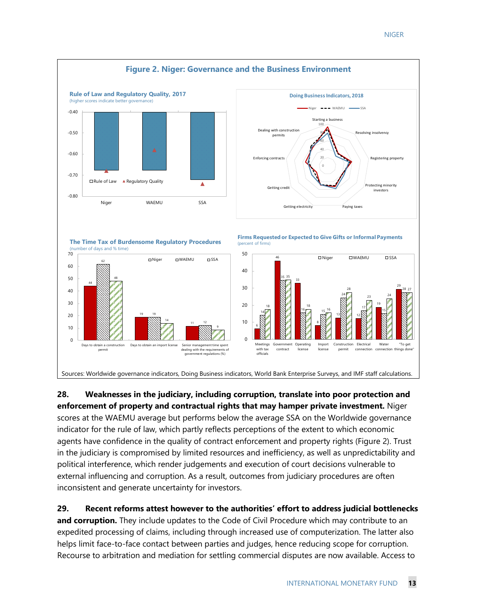

**28. Weaknesses in the judiciary, including corruption, translate into poor protection and enforcement of property and contractual rights that may hamper private investment.** Niger scores at the WAEMU average but performs below the average SSA on the Worldwide governance indicator for the rule of law, which partly reflects perceptions of the extent to which economic agents have confidence in the quality of contract enforcement and property rights (Figure 2). Trust in the judiciary is compromised by limited resources and inefficiency, as well as unpredictability and political interference, which render judgements and execution of court decisions vulnerable to external influencing and corruption. As a result, outcomes from judiciary procedures are often inconsistent and generate uncertainty for investors.

**29. Recent reforms attest however to the authorities' effort to address judicial bottlenecks and corruption.** They include updates to the Code of Civil Procedure which may contribute to an expedited processing of claims, including through increased use of computerization. The latter also helps limit face-to-face contact between parties and judges, hence reducing scope for corruption. Recourse to arbitration and mediation for settling commercial disputes are now available. Access to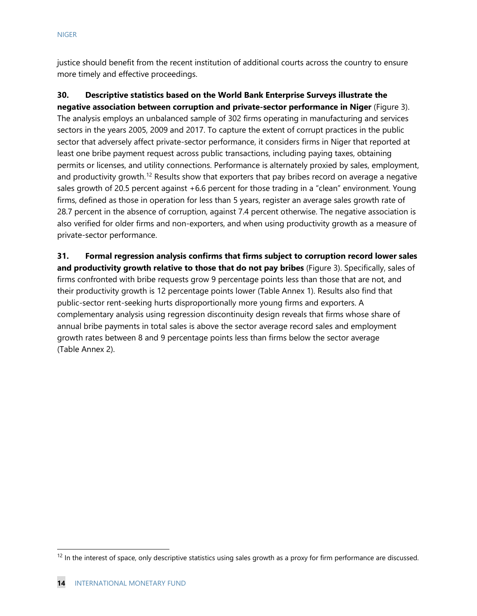justice should benefit from the recent institution of additional courts across the country to ensure more timely and effective proceedings.

**30. Descriptive statistics based on the World Bank Enterprise Surveys illustrate the negative association between corruption and private-sector performance in Niger** (Figure 3). The analysis employs an unbalanced sample of 302 firms operating in manufacturing and services sectors in the years 2005, 2009 and 2017. To capture the extent of corrupt practices in the public sector that adversely affect private-sector performance, it considers firms in Niger that reported at least one bribe payment request across public transactions, including paying taxes, obtaining permits or licenses, and utility connections. Performance is alternately proxied by sales, employment, and productivity growth.<sup>[12](#page-14-0)</sup> Results show that exporters that pay bribes record on average a negative sales growth of 20.5 percent against +6.6 percent for those trading in a "clean" environment. Young firms, defined as those in operation for less than 5 years, register an average sales growth rate of 28.7 percent in the absence of corruption, against 7.4 percent otherwise. The negative association is also verified for older firms and non-exporters, and when using productivity growth as a measure of private-sector performance.

**31. Formal regression analysis confirms that firms subject to corruption record lower sales and productivity growth relative to those that do not pay bribes** (Figure 3). Specifically, sales of firms confronted with bribe requests grow 9 percentage points less than those that are not, and their productivity growth is 12 percentage points lower (Table Annex 1). Results also find that public-sector rent-seeking hurts disproportionally more young firms and exporters. A complementary analysis using regression discontinuity design reveals that firms whose share of annual bribe payments in total sales is above the sector average record sales and employment growth rates between 8 and 9 percentage points less than firms below the sector average (Table Annex 2).

<span id="page-14-0"></span> $12$  In the interest of space, only descriptive statistics using sales growth as a proxy for firm performance are discussed.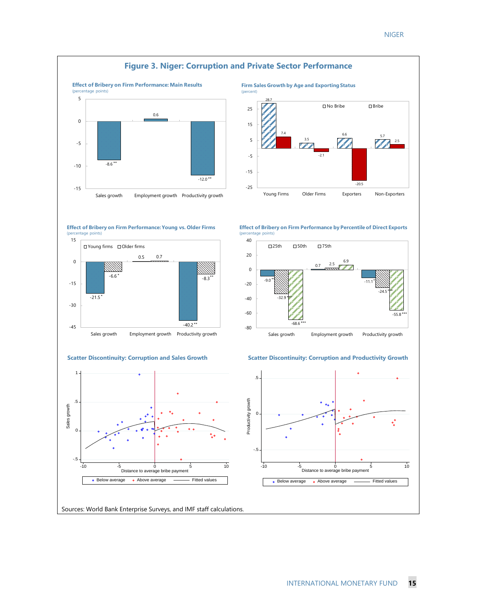

Sources: World Bank Enterprise Surveys, and IMF staff calculations.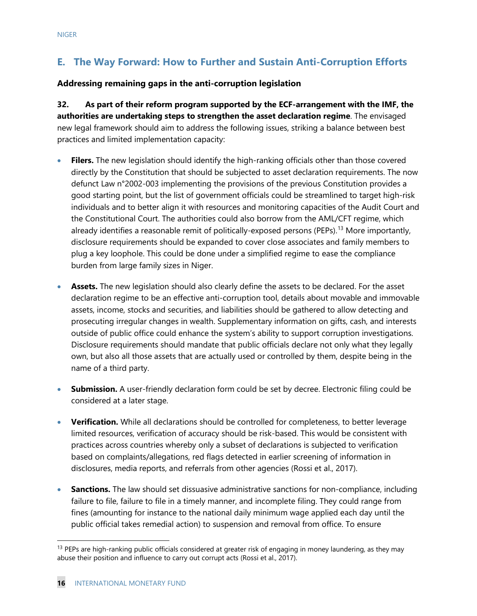# **E. The Way Forward: How to Further and Sustain Anti-Corruption Efforts**

#### **Addressing remaining gaps in the anti-corruption legislation**

**32. As part of their reform program supported by the ECF-arrangement with the IMF, the authorities are undertaking steps to strengthen the asset declaration regime**. The envisaged new legal framework should aim to address the following issues, striking a balance between best practices and limited implementation capacity:

- **Filers.** The new legislation should identify the high-ranking officials other than those covered directly by the Constitution that should be subjected to asset declaration requirements. The now defunct Law n°2002-003 implementing the provisions of the previous Constitution provides a good starting point, but the list of government officials could be streamlined to target high-risk individuals and to better align it with resources and monitoring capacities of the Audit Court and the Constitutional Court. The authorities could also borrow from the AML/CFT regime, which already identifies a reasonable remit of politically-exposed persons (PEPs).<sup>[13](#page-16-0)</sup> More importantly, disclosure requirements should be expanded to cover close associates and family members to plug a key loophole. This could be done under a simplified regime to ease the compliance burden from large family sizes in Niger.
- **Assets.** The new legislation should also clearly define the assets to be declared. For the asset declaration regime to be an effective anti-corruption tool, details about movable and immovable assets, income, stocks and securities, and liabilities should be gathered to allow detecting and prosecuting irregular changes in wealth. Supplementary information on gifts, cash, and interests outside of public office could enhance the system's ability to support corruption investigations. Disclosure requirements should mandate that public officials declare not only what they legally own, but also all those assets that are actually used or controlled by them, despite being in the name of a third party.
- **Submission.** A user-friendly declaration form could be set by decree. Electronic filing could be considered at a later stage.
- **Verification.** While all declarations should be controlled for completeness, to better leverage limited resources, verification of accuracy should be risk-based. This would be consistent with practices across countries whereby only a subset of declarations is subjected to verification based on complaints/allegations, red flags detected in earlier screening of information in disclosures, media reports, and referrals from other agencies (Rossi et al., 2017).
- **Sanctions.** The law should set dissuasive administrative sanctions for non-compliance, including failure to file, failure to file in a timely manner, and incomplete filing. They could range from fines (amounting for instance to the national daily minimum wage applied each day until the public official takes remedial action) to suspension and removal from office. To ensure

<span id="page-16-0"></span><sup>&</sup>lt;sup>13</sup> PEPs are high-ranking public officials considered at greater risk of engaging in money laundering, as they may abuse their position and influence to carry out corrupt acts (Rossi et al., 2017).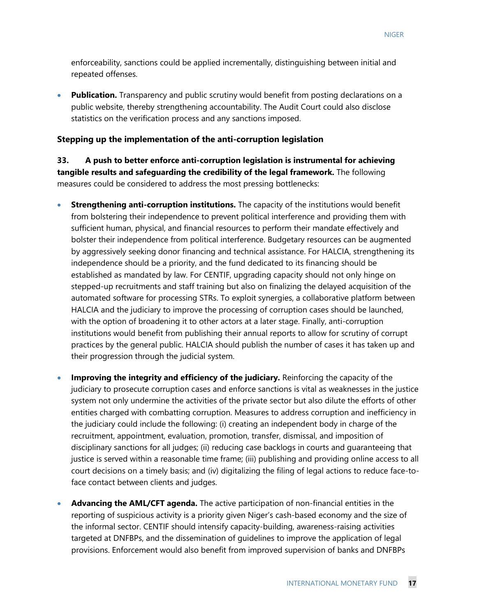enforceability, sanctions could be applied incrementally, distinguishing between initial and repeated offenses.

• **Publication.** Transparency and public scrutiny would benefit from posting declarations on a public website, thereby strengthening accountability. The Audit Court could also disclose statistics on the verification process and any sanctions imposed.

#### **Stepping up the implementation of the anti-corruption legislation**

**33. A push to better enforce anti-corruption legislation is instrumental for achieving tangible results and safeguarding the credibility of the legal framework.** The following measures could be considered to address the most pressing bottlenecks:

- **Strengthening anti-corruption institutions.** The capacity of the institutions would benefit from bolstering their independence to prevent political interference and providing them with sufficient human, physical, and financial resources to perform their mandate effectively and bolster their independence from political interference. Budgetary resources can be augmented by aggressively seeking donor financing and technical assistance. For HALCIA, strengthening its independence should be a priority, and the fund dedicated to its financing should be established as mandated by law. For CENTIF, upgrading capacity should not only hinge on stepped-up recruitments and staff training but also on finalizing the delayed acquisition of the automated software for processing STRs. To exploit synergies, a collaborative platform between HALCIA and the judiciary to improve the processing of corruption cases should be launched, with the option of broadening it to other actors at a later stage. Finally, anti-corruption institutions would benefit from publishing their annual reports to allow for scrutiny of corrupt practices by the general public. HALCIA should publish the number of cases it has taken up and their progression through the judicial system.
- **Improving the integrity and efficiency of the judiciary.** Reinforcing the capacity of the judiciary to prosecute corruption cases and enforce sanctions is vital as weaknesses in the justice system not only undermine the activities of the private sector but also dilute the efforts of other entities charged with combatting corruption. Measures to address corruption and inefficiency in the judiciary could include the following: (i) creating an independent body in charge of the recruitment, appointment, evaluation, promotion, transfer, dismissal, and imposition of disciplinary sanctions for all judges; (ii) reducing case backlogs in courts and guaranteeing that justice is served within a reasonable time frame; (iii) publishing and providing online access to all court decisions on a timely basis; and (iv) digitalizing the filing of legal actions to reduce face-toface contact between clients and judges.
- **Advancing the AML/CFT agenda.** The active participation of non-financial entities in the reporting of suspicious activity is a priority given Niger's cash-based economy and the size of the informal sector. CENTIF should intensify capacity-building, awareness-raising activities targeted at DNFBPs, and the dissemination of guidelines to improve the application of legal provisions. Enforcement would also benefit from improved supervision of banks and DNFBPs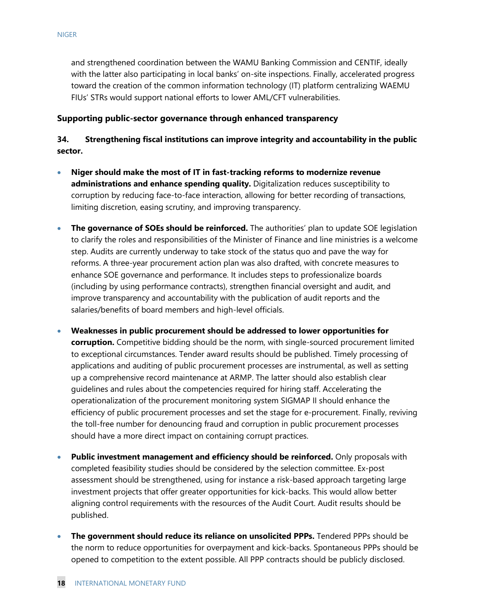and strengthened coordination between the WAMU Banking Commission and CENTIF, ideally with the latter also participating in local banks' on-site inspections. Finally, accelerated progress toward the creation of the common information technology (IT) platform centralizing WAEMU FIUs' STRs would support national efforts to lower AML/CFT vulnerabilities.

#### **Supporting public-sector governance through enhanced transparency**

#### **34. Strengthening fiscal institutions can improve integrity and accountability in the public sector.**

- **Niger should make the most of IT in fast-tracking reforms to modernize revenue administrations and enhance spending quality.** Digitalization reduces susceptibility to corruption by reducing face-to-face interaction, allowing for better recording of transactions, limiting discretion, easing scrutiny, and improving transparency.
- **The governance of SOEs should be reinforced.** The authorities' plan to update SOE legislation to clarify the roles and responsibilities of the Minister of Finance and line ministries is a welcome step. Audits are currently underway to take stock of the status quo and pave the way for reforms. A three-year procurement action plan was also drafted, with concrete measures to enhance SOE governance and performance. It includes steps to professionalize boards (including by using performance contracts), strengthen financial oversight and audit, and improve transparency and accountability with the publication of audit reports and the salaries/benefits of board members and high-level officials.
- **Weaknesses in public procurement should be addressed to lower opportunities for corruption.** Competitive bidding should be the norm, with single-sourced procurement limited to exceptional circumstances. Tender award results should be published. Timely processing of applications and auditing of public procurement processes are instrumental, as well as setting up a comprehensive record maintenance at ARMP. The latter should also establish clear guidelines and rules about the competencies required for hiring staff. Accelerating the operationalization of the procurement monitoring system SIGMAP II should enhance the efficiency of public procurement processes and set the stage for e-procurement. Finally, reviving the toll-free number for denouncing fraud and corruption in public procurement processes should have a more direct impact on containing corrupt practices.
- **Public investment management and efficiency should be reinforced.** Only proposals with completed feasibility studies should be considered by the selection committee. Ex-post assessment should be strengthened, using for instance a risk-based approach targeting large investment projects that offer greater opportunities for kick-backs. This would allow better aligning control requirements with the resources of the Audit Court. Audit results should be published.
- **The government should reduce its reliance on unsolicited PPPs.** Tendered PPPs should be the norm to reduce opportunities for overpayment and kick-backs. Spontaneous PPPs should be opened to competition to the extent possible. All PPP contracts should be publicly disclosed.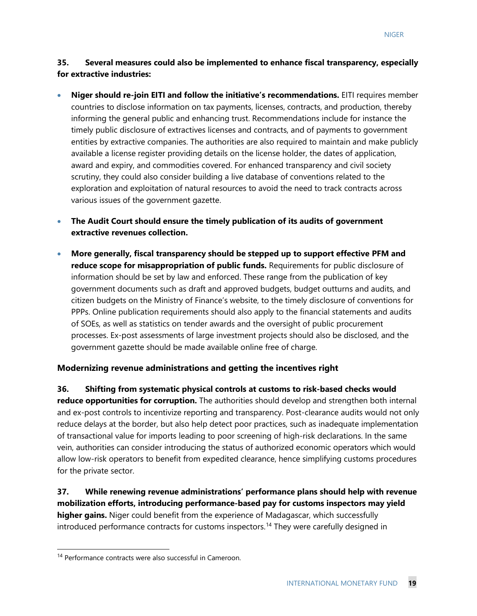#### **35. Several measures could also be implemented to enhance fiscal transparency, especially for extractive industries:**

- **Niger should re-join EITI and follow the initiative's recommendations.** EITI requires member countries to disclose information on tax payments, licenses, contracts, and production, thereby informing the general public and enhancing trust. Recommendations include for instance the timely public disclosure of extractives licenses and contracts, and of payments to government entities by extractive companies. The authorities are also required to maintain and make publicly available a license register providing details on the license holder, the dates of application, award and expiry, and commodities covered. For enhanced transparency and civil society scrutiny, they could also consider building a live database of conventions related to the exploration and exploitation of natural resources to avoid the need to track contracts across various issues of the government gazette.
- **The Audit Court should ensure the timely publication of its audits of government extractive revenues collection.**
- **More generally, fiscal transparency should be stepped up to support effective PFM and reduce scope for misappropriation of public funds.** Requirements for public disclosure of information should be set by law and enforced. These range from the publication of key government documents such as draft and approved budgets, budget outturns and audits, and citizen budgets on the Ministry of Finance's website, to the timely disclosure of conventions for PPPs. Online publication requirements should also apply to the financial statements and audits of SOEs, as well as statistics on tender awards and the oversight of public procurement processes. Ex-post assessments of large investment projects should also be disclosed, and the government gazette should be made available online free of charge.

#### **Modernizing revenue administrations and getting the incentives right**

**36. Shifting from systematic physical controls at customs to risk-based checks would reduce opportunities for corruption.** The authorities should develop and strengthen both internal and ex-post controls to incentivize reporting and transparency. Post-clearance audits would not only reduce delays at the border, but also help detect poor practices, such as inadequate implementation of transactional value for imports leading to poor screening of high-risk declarations. In the same vein, authorities can consider introducing the status of authorized economic operators which would allow low-risk operators to benefit from expedited clearance, hence simplifying customs procedures for the private sector.

**37. While renewing revenue administrations' performance plans should help with revenue mobilization efforts, introducing performance-based pay for customs inspectors may yield higher gains.** Niger could benefit from the experience of Madagascar, which successfully introduced performance contracts for customs inspectors.<sup>[14](#page-19-0)</sup> They were carefully designed in

<span id="page-19-0"></span><sup>&</sup>lt;sup>14</sup> Performance contracts were also successful in Cameroon.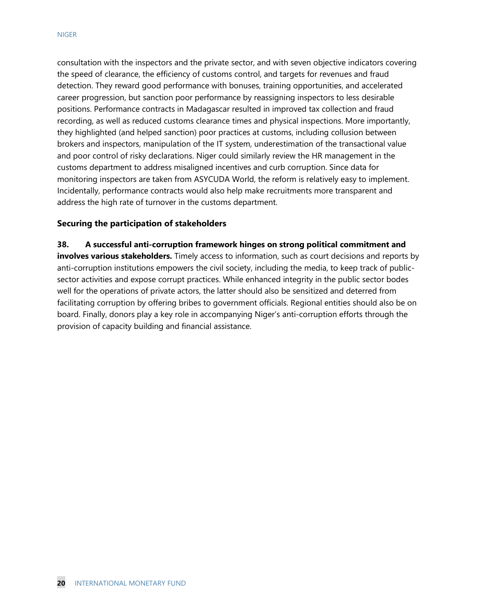consultation with the inspectors and the private sector, and with seven objective indicators covering the speed of clearance, the efficiency of customs control, and targets for revenues and fraud detection. They reward good performance with bonuses, training opportunities, and accelerated career progression, but sanction poor performance by reassigning inspectors to less desirable positions. Performance contracts in Madagascar resulted in improved tax collection and fraud recording, as well as reduced customs clearance times and physical inspections. More importantly, they highlighted (and helped sanction) poor practices at customs, including collusion between brokers and inspectors, manipulation of the IT system, underestimation of the transactional value and poor control of risky declarations. Niger could similarly review the HR management in the customs department to address misaligned incentives and curb corruption. Since data for monitoring inspectors are taken from ASYCUDA World, the reform is relatively easy to implement. Incidentally, performance contracts would also help make recruitments more transparent and address the high rate of turnover in the customs department.

#### **Securing the participation of stakeholders**

**38. A successful anti-corruption framework hinges on strong political commitment and involves various stakeholders.** Timely access to information, such as court decisions and reports by anti-corruption institutions empowers the civil society, including the media, to keep track of publicsector activities and expose corrupt practices. While enhanced integrity in the public sector bodes well for the operations of private actors, the latter should also be sensitized and deterred from facilitating corruption by offering bribes to government officials. Regional entities should also be on board. Finally, donors play a key role in accompanying Niger's anti-corruption efforts through the provision of capacity building and financial assistance.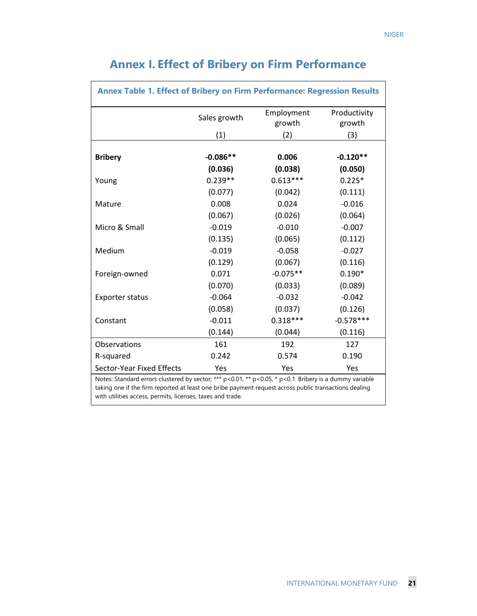| <b>Annex Table 1. Effect of Bribery on Firm Performance: Regression Results</b>                                                                           |              |                      |                        |  |  |
|-----------------------------------------------------------------------------------------------------------------------------------------------------------|--------------|----------------------|------------------------|--|--|
|                                                                                                                                                           | Sales growth | Employment<br>growth | Productivity<br>growth |  |  |
|                                                                                                                                                           | (1)          | (2)                  | (3)                    |  |  |
| <b>Bribery</b>                                                                                                                                            | $-0.086**$   | 0.006                | $-0.120**$             |  |  |
|                                                                                                                                                           | (0.036)      | (0.038)              | (0.050)                |  |  |
| Young                                                                                                                                                     | $0.239**$    | $0.613***$           | $0.225*$               |  |  |
|                                                                                                                                                           | (0.077)      | (0.042)              | (0.111)                |  |  |
| Mature                                                                                                                                                    | 0.008        | 0.024                | $-0.016$               |  |  |
|                                                                                                                                                           | (0.067)      | (0.026)              | (0.064)                |  |  |
| Micro & Small                                                                                                                                             | $-0.019$     | $-0.010$             | $-0.007$               |  |  |
|                                                                                                                                                           | (0.135)      | (0.065)              | (0.112)                |  |  |
| Medium                                                                                                                                                    | $-0.019$     | $-0.058$             | $-0.027$               |  |  |
|                                                                                                                                                           | (0.129)      | (0.067)              | (0.116)                |  |  |
| Foreign-owned                                                                                                                                             | 0.071        | $-0.075**$           | $0.190*$               |  |  |
|                                                                                                                                                           | (0.070)      | (0.033)              | (0.089)                |  |  |
| <b>Exporter status</b>                                                                                                                                    | $-0.064$     | $-0.032$             | $-0.042$               |  |  |
|                                                                                                                                                           | (0.058)      | (0.037)              | (0.126)                |  |  |
| Constant                                                                                                                                                  | $-0.011$     | $0.318***$           | $-0.578***$            |  |  |
|                                                                                                                                                           | (0.144)      | (0.044)              | (0.116)                |  |  |
| Observations                                                                                                                                              | 161          | 192                  | 127                    |  |  |
| R-squared                                                                                                                                                 | 0.242        | 0.574                | 0.190                  |  |  |
| <b>Sector-Year Fixed Effects</b><br>Notes: Standard errors slustered by sector: $***$ p $(0.01, ** \times 0.05, * \times 0.1)$ Priber is a dummu variable | Yes          | Yes                  | Yes                    |  |  |

# **Annex I. Effect of Bribery on Firm Performance**

Г

Notes: Standard errors clustered by sector; \*\*\* p<0.01, \*\* p<0.05, \* p<0.1. Bribery is a dummy variable taking one if the firm reported at least one bribe payment request across public transactions dealing with utilities access, permits, licenses, taxes and trade.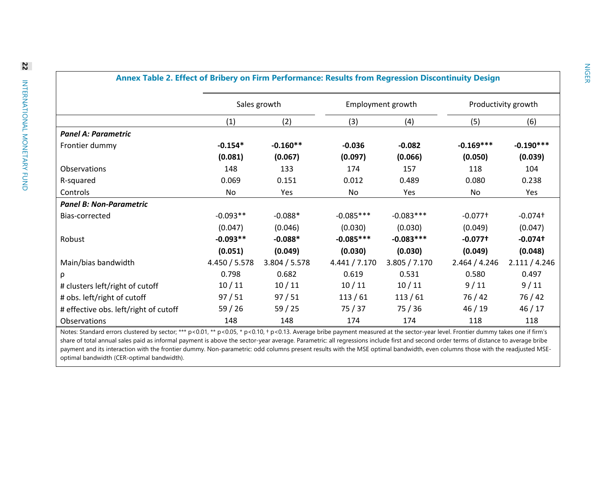|                                       | Sales growth  |               | Employment growth |               | Productivity growth   |               |
|---------------------------------------|---------------|---------------|-------------------|---------------|-----------------------|---------------|
|                                       | (1)           | (2)           | (3)               | (4)           | (5)                   | (6)           |
| <b>Panel A: Parametric</b>            |               |               |                   |               |                       |               |
| Frontier dummy                        | $-0.154*$     | $-0.160**$    | $-0.036$          | $-0.082$      | $-0.169***$           | $-0.190***$   |
|                                       | (0.081)       | (0.067)       | (0.097)           | (0.066)       | (0.050)               | (0.039)       |
| Observations                          | 148           | 133           | 174               | 157           | 118                   | 104           |
| R-squared                             | 0.069         | 0.151         | 0.012             | 0.489         | 0.080                 | 0.238         |
| Controls                              | No            | Yes           | No                | Yes           | No                    | Yes           |
| <b>Panel B: Non-Parametric</b>        |               |               |                   |               |                       |               |
| Bias-corrected                        | $-0.093**$    | $-0.088*$     | $-0.085***$       | $-0.083***$   | $-0.077$ <sup>+</sup> | $-0.074$ t    |
|                                       | (0.047)       | (0.046)       | (0.030)           | (0.030)       | (0.049)               | (0.047)       |
| Robust                                | $-0.093**$    | $-0.088*$     | $-0.085***$       | $-0.083***$   | $-0.077$ †            | $-0.074$ t    |
|                                       | (0.051)       | (0.049)       | (0.030)           | (0.030)       | (0.049)               | (0.048)       |
| Main/bias bandwidth                   | 4.450 / 5.578 | 3.804 / 5.578 | 4.441 / 7.170     | 3.805 / 7.170 | 2.464 / 4.246         | 2.111 / 4.246 |
| ρ                                     | 0.798         | 0.682         | 0.619             | 0.531         | 0.580                 | 0.497         |
| # clusters left/right of cutoff       | 10/11         | 10/11         | 10/11             | 10/11         | 9/11                  | 9/11          |
| # obs. left/right of cutoff           | 97/51         | 97/51         | 113/61            | 113/61        | 76 / 42               | 76/42         |
| # effective obs. left/right of cutoff | 59/26         | 59/25         | 75/37             | 75/36         | 46/19                 | 46/17         |
| Observations                          | 148           | 148           | 174               | 174           | 118                   | 118           |

#### **Annex Table 2. Effect of Bribery on Firm Performance: Results from Regression Discontinuity Design**

Notes: Standard errors clustered by sector; \*\*\* p<0.01, \*\* p<0.05, \* p<0.10, + p<0.13. Average bribe payment measured at the sector-year level. Frontier dummy takes one if firm's share of total annual sales paid as informal payment is above the sector-year average. Parametric: all regressions include first and second order terms of distance to average bribe payment and its interaction with the frontier dummy. Non-parametric: odd columns present results with the MSE optimal bandwidth, even columns those with the readjusted MSEoptimal bandwidth (CER-optimal bandwidth).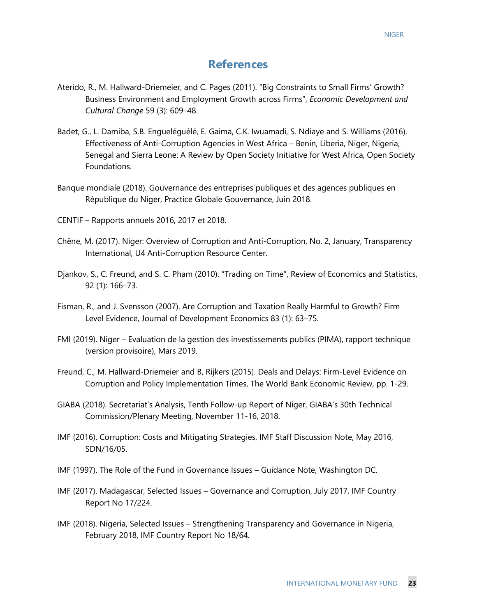# **References**

- Aterido, R., M. Hallward-Driemeier, and C. Pages (2011). "Big Constraints to Small Firms' Growth? Business Environment and Employment Growth across Firms", *Economic Development and Cultural Change* 59 (3): 609–48.
- Badet, G., L. Damiba, S.B. Engueléguélé, E. Gaima, C.K. Iwuamadi, S. Ndiaye and S. Williams (2016). Effectiveness of Anti-Corruption Agencies in West Africa – Benin, Liberia, Niger, Nigeria, Senegal and Sierra Leone: A Review by Open Society Initiative for West Africa, Open Society Foundations.
- Banque mondiale (2018). Gouvernance des entreprises publiques et des agences publiques en République du Niger, Practice Globale Gouvernance, Juin 2018.
- CENTIF Rapports annuels 2016, 2017 et 2018.
- Chêne, M. (2017). Niger: Overview of Corruption and Anti-Corruption, No. 2, January, Transparency International, U4 Anti-Corruption Resource Center.
- Djankov, S., C. Freund, and S. C. Pham (2010). "Trading on Time", Review of Economics and Statistics, 92 (1): 166–73.
- Fisman, R., and J. Svensson (2007). Are Corruption and Taxation Really Harmful to Growth? Firm Level Evidence, Journal of Development Economics 83 (1): 63–75.
- FMI (2019). Niger Evaluation de la gestion des investissements publics (PIMA), rapport technique (version provisoire), Mars 2019.
- Freund, C., M. Hallward-Driemeier and B, Rijkers (2015). Deals and Delays: Firm-Level Evidence on Corruption and Policy Implementation Times, The World Bank Economic Review, pp. 1-29.
- GIABA (2018). Secretariat's Analysis, Tenth Follow-up Report of Niger, GIABA's 30th Technical Commission/Plenary Meeting, November 11-16, 2018.
- IMF (2016). Corruption: Costs and Mitigating Strategies, IMF Staff Discussion Note, May 2016, SDN/16/05.
- IMF (1997). The Role of the Fund in Governance Issues Guidance Note, Washington DC.
- IMF (2017). Madagascar, Selected Issues Governance and Corruption, July 2017, IMF Country Report No 17/224.
- IMF (2018). Nigeria, Selected Issues Strengthening Transparency and Governance in Nigeria, February 2018, IMF Country Report No 18/64.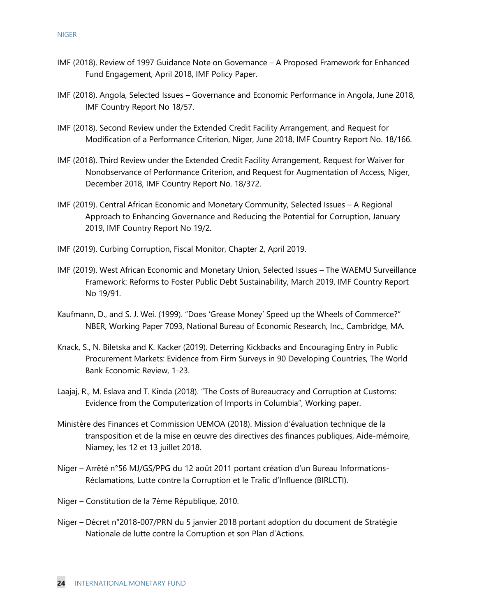- IMF (2018). Review of 1997 Guidance Note on Governance A Proposed Framework for Enhanced Fund Engagement, April 2018, IMF Policy Paper.
- IMF (2018). Angola, Selected Issues Governance and Economic Performance in Angola, June 2018, IMF Country Report No 18/57.
- IMF (2018). Second Review under the Extended Credit Facility Arrangement, and Request for Modification of a Performance Criterion, Niger, June 2018, IMF Country Report No. 18/166.
- IMF (2018). Third Review under the Extended Credit Facility Arrangement, Request for Waiver for Nonobservance of Performance Criterion, and Request for Augmentation of Access, Niger, December 2018, IMF Country Report No. 18/372.
- IMF (2019). Central African Economic and Monetary Community, Selected Issues A Regional Approach to Enhancing Governance and Reducing the Potential for Corruption, January 2019, IMF Country Report No 19/2.
- IMF (2019). Curbing Corruption, Fiscal Monitor, Chapter 2, April 2019.
- IMF (2019). West African Economic and Monetary Union, Selected Issues The WAEMU Surveillance Framework: Reforms to Foster Public Debt Sustainability, March 2019, IMF Country Report No 19/91.
- Kaufmann, D., and S. J. Wei. (1999). "Does 'Grease Money' Speed up the Wheels of Commerce?" NBER, Working Paper 7093, National Bureau of Economic Research, Inc., Cambridge, MA.
- Knack, S., N. Biletska and K. Kacker (2019). Deterring Kickbacks and Encouraging Entry in Public Procurement Markets: Evidence from Firm Surveys in 90 Developing Countries, The World Bank Economic Review, 1-23.
- Laajaj, R., M. Eslava and T. Kinda (2018). "The Costs of Bureaucracy and Corruption at Customs: Evidence from the Computerization of Imports in Columbia", Working paper.
- Ministère des Finances et Commission UEMOA (2018). Mission d'évaluation technique de la transposition et de la mise en œuvre des directives des finances publiques, Aide-mémoire, Niamey, les 12 et 13 juillet 2018.
- Niger Arrêté n°56 MJ/GS/PPG du 12 août 2011 portant création d'un Bureau Informations-Réclamations, Lutte contre la Corruption et le Trafic d'Influence (BIRLCTI).
- Niger Constitution de la 7ème République, 2010.
- Niger Décret n°2018-007/PRN du 5 janvier 2018 portant adoption du document de Stratégie Nationale de lutte contre la Corruption et son Plan d'Actions.